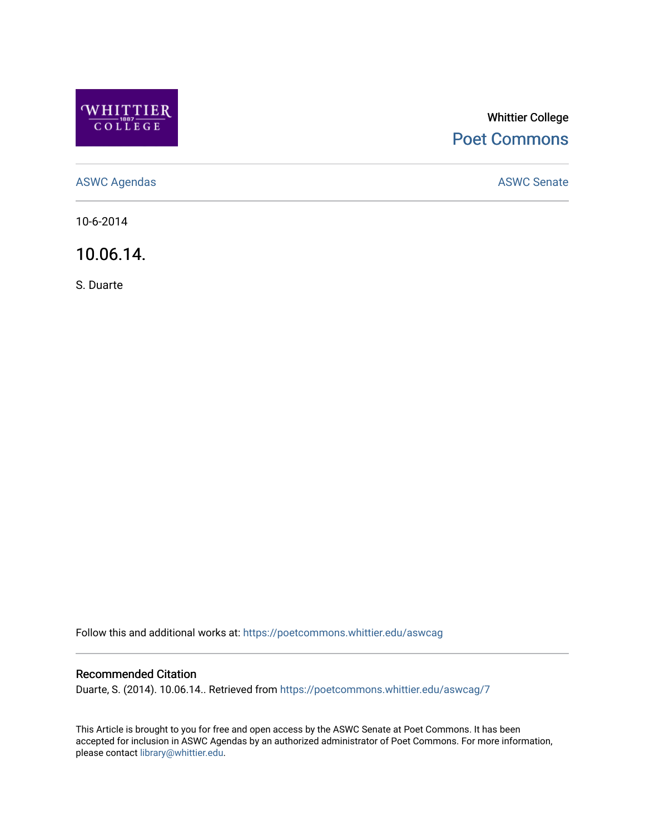

## Whittier College [Poet Commons](https://poetcommons.whittier.edu/)

[ASWC Agendas](https://poetcommons.whittier.edu/aswcag) **ASWC Senate** 

10-6-2014

10.06.14.

S. Duarte

Follow this and additional works at: [https://poetcommons.whittier.edu/aswcag](https://poetcommons.whittier.edu/aswcag?utm_source=poetcommons.whittier.edu%2Faswcag%2F7&utm_medium=PDF&utm_campaign=PDFCoverPages) 

## Recommended Citation

Duarte, S. (2014). 10.06.14.. Retrieved from [https://poetcommons.whittier.edu/aswcag/7](https://poetcommons.whittier.edu/aswcag/7?utm_source=poetcommons.whittier.edu%2Faswcag%2F7&utm_medium=PDF&utm_campaign=PDFCoverPages) 

This Article is brought to you for free and open access by the ASWC Senate at Poet Commons. It has been accepted for inclusion in ASWC Agendas by an authorized administrator of Poet Commons. For more information, please contact [library@whittier.edu](mailto:library@whittier.edu).